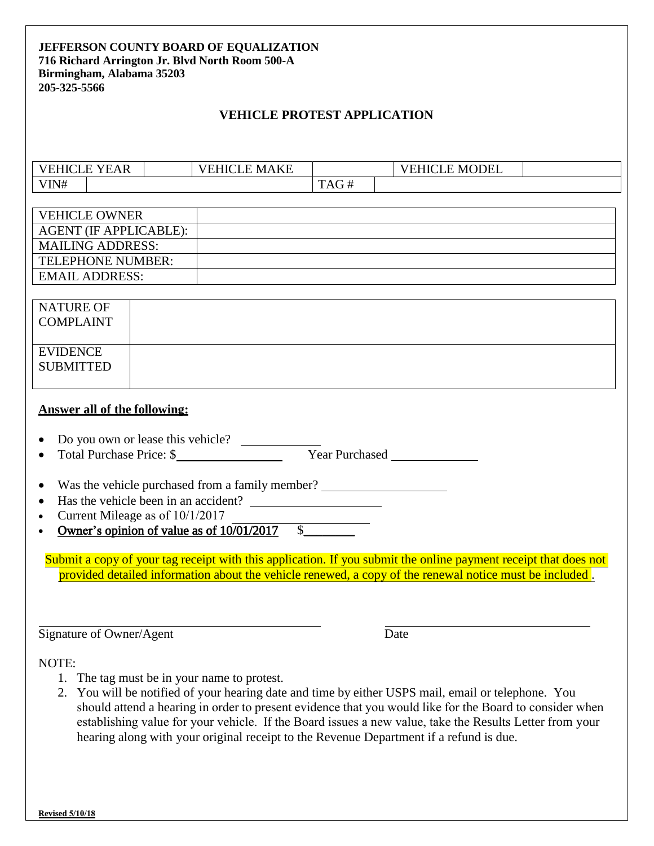### **JEFFERSON COUNTY BOARD OF EQUALIZATION 716 Richard Arrington Jr. Blvd North Room 500-A Birmingham, Alabama 35203 205-325-5566**

## **VEHICLE PROTEST APPLICATION**

| $\mathbf{v}$ $\mathbf{r}$<br>$\overline{\phantom{0}}$<br>$\sqrt{2}$<br>EAK |  | N A<br>ιKΕ<br>н |                                     |  | <b>MODEL</b> |  |
|----------------------------------------------------------------------------|--|-----------------|-------------------------------------|--|--------------|--|
| VIN#                                                                       |  |                 | $\Delta$ $\Gamma$<br>$\blacksquare$ |  |              |  |

| <b>VEHICLE OWNER</b>          |  |
|-------------------------------|--|
| <b>AGENT (IF APPLICABLE):</b> |  |
| <b>MAILING ADDRESS:</b>       |  |
| TELEPHONE NUMBER:             |  |
| EMAIL ADDRESS:                |  |
|                               |  |

| <b>NATURE OF</b><br><b>COMPLAINT</b> |  |
|--------------------------------------|--|
| <b>EVIDENCE</b><br><b>SUBMITTED</b>  |  |

### **Answer all of the following:**

|  | • Do you own or lease this vehicle? |  |
|--|-------------------------------------|--|
|--|-------------------------------------|--|

- Total Purchase Price: \$
- Was the vehicle purchased from a family member? \_\_\_\_\_\_\_\_\_\_\_\_\_\_\_\_\_\_\_\_\_\_\_\_\_\_\_\_\_\_
- Has the vehicle been in an accident?
- Current Mileage as of  $10/1/2017$
- Owner's opinion of value as of  $10\overline{01/2017}$  \$

provided detailed information about the vehicle renewed, a copy of the renewal notice must be included. Submit a copy of your tag receipt with this application. If you submit the online payment receipt that does not

Signature of Owner/Agent Date

NOTE:

- 1. The tag must be in your name to protest.
- 2. You will be notified of your hearing date and time by either USPS mail, email or telephone. You should attend a hearing in order to present evidence that you would like for the Board to consider when establishing value for your vehicle. If the Board issues a new value, take the Results Letter from your hearing along with your original receipt to the Revenue Department if a refund is due.

**9/25/2016**